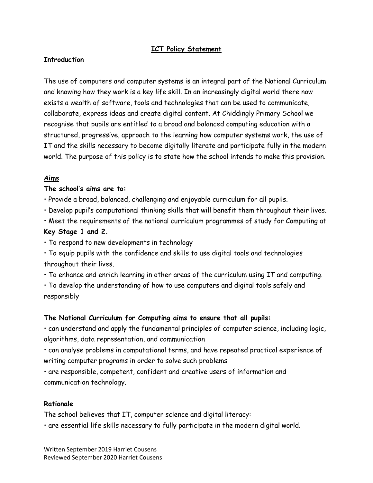# **ICT Policy Statement**

#### **Introduction**

The use of computers and computer systems is an integral part of the National Curriculum and knowing how they work is a key life skill. In an increasingly digital world there now exists a wealth of software, tools and technologies that can be used to communicate, collaborate, express ideas and create digital content. At Chiddingly Primary School we recognise that pupils are entitled to a broad and balanced computing education with a structured, progressive, approach to the learning how computer systems work, the use of IT and the skills necessary to become digitally literate and participate fully in the modern world. The purpose of this policy is to state how the school intends to make this provision.

#### **Aims**

#### **The school's aims are to:**

- Provide a broad, balanced, challenging and enjoyable curriculum for all pupils.
- Develop pupil's computational thinking skills that will benefit them throughout their lives.
- Meet the requirements of the national curriculum programmes of study for Computing at

### **Key Stage 1 and 2.**

- To respond to new developments in technology
- To equip pupils with the confidence and skills to use digital tools and technologies throughout their lives.
- To enhance and enrich learning in other areas of the curriculum using IT and computing.
- To develop the understanding of how to use computers and digital tools safely and responsibly

### **The National Curriculum for Computing aims to ensure that all pupils:**

• can understand and apply the fundamental principles of computer science, including logic, algorithms, data representation, and communication

• can analyse problems in computational terms, and have repeated practical experience of writing computer programs in order to solve such problems

• are responsible, competent, confident and creative users of information and communication technology.

#### **Rationale**

The school believes that IT, computer science and digital literacy:

• are essential life skills necessary to fully participate in the modern digital world.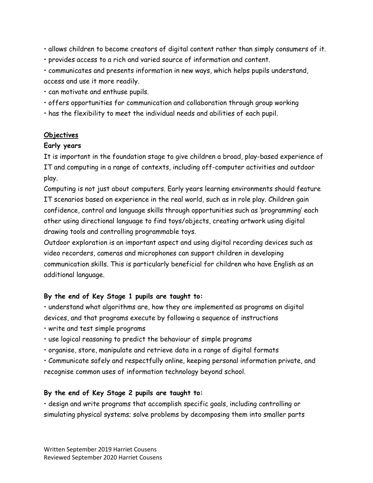- allows children to become creators of digital content rather than simply consumers of it.
- provides access to a rich and varied source of information and content.
- communicates and presents information in new ways, which helps pupils understand, access and use it more readily.
- can motivate and enthuse pupils.
- offers opportunities for communication and collaboration through group working
- has the flexibility to meet the individual needs and abilities of each pupil.

# **Objectives**

# **Early years**

It is important in the foundation stage to give children a broad, play-based experience of IT and computing in a range of contexts, including off-computer activities and outdoor play.

Computing is not just about computers. Early years learning environments should feature IT scenarios based on experience in the real world, such as in role play. Children gain confidence, control and language skills through opportunities such as 'programming' each other using directional language to find toys/objects, creating artwork using digital drawing tools and controlling programmable toys.

Outdoor exploration is an important aspect and using digital recording devices such as video recorders, cameras and microphones can support children in developing communication skills. This is particularly beneficial for children who have English as an additional language.

# **By the end of Key Stage 1 pupils are taught to:**

• understand what algorithms are, how they are implemented as programs on digital devices, and that programs execute by following a sequence of instructions

- write and test simple programs
- use logical reasoning to predict the behaviour of simple programs
- organise, store, manipulate and retrieve data in a range of digital formats
- Communicate safely and respectfully online, keeping personal information private, and recognise common uses of information technology beyond school.

# **By the end of Key Stage 2 pupils are taught to:**

• design and write programs that accomplish specific goals, including controlling or simulating physical systems; solve problems by decomposing them into smaller parts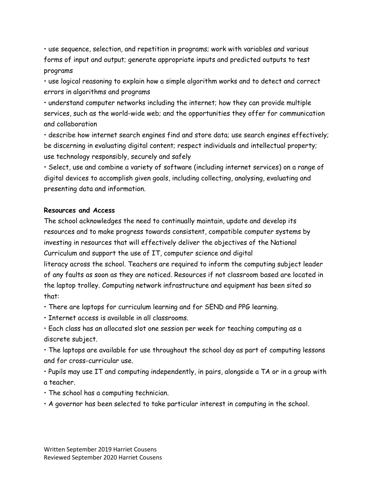• use sequence, selection, and repetition in programs; work with variables and various forms of input and output; generate appropriate inputs and predicted outputs to test programs

• use logical reasoning to explain how a simple algorithm works and to detect and correct errors in algorithms and programs

• understand computer networks including the internet; how they can provide multiple services, such as the world-wide web; and the opportunities they offer for communication and collaboration

• describe how internet search engines find and store data; use search engines effectively; be discerning in evaluating digital content; respect individuals and intellectual property; use technology responsibly, securely and safely

• Select, use and combine a variety of software (including internet services) on a range of digital devices to accomplish given goals, including collecting, analysing, evaluating and presenting data and information.

### **Resources and Access**

The school acknowledges the need to continually maintain, update and develop its resources and to make progress towards consistent, compatible computer systems by investing in resources that will effectively deliver the objectives of the National Curriculum and support the use of IT, computer science and digital literacy across the school. Teachers are required to inform the computing subject leader of any faults as soon as they are noticed. Resources if not classroom based are located in

the laptop trolley. Computing network infrastructure and equipment has been sited so that:

• There are laptops for curriculum learning and for SEND and PPG learning.

• Internet access is available in all classrooms.

• Each class has an allocated slot one session per week for teaching computing as a discrete subject.

• The laptops are available for use throughout the school day as part of computing lessons and for cross-curricular use.

• Pupils may use IT and computing independently, in pairs, alongside a TA or in a group with a teacher.

- The school has a computing technician.
- A governor has been selected to take particular interest in computing in the school.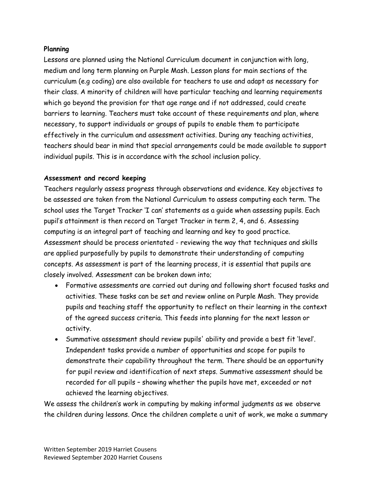## **Planning**

Lessons are planned using the National Curriculum document in conjunction with long, medium and long term planning on Purple Mash. Lesson plans for main sections of the curriculum (e.g coding) are also available for teachers to use and adapt as necessary for their class. A minority of children will have particular teaching and learning requirements which go beyond the provision for that age range and if not addressed, could create barriers to learning. Teachers must take account of these requirements and plan, where necessary, to support individuals or groups of pupils to enable them to participate effectively in the curriculum and assessment activities. During any teaching activities, teachers should bear in mind that special arrangements could be made available to support individual pupils. This is in accordance with the school inclusion policy.

## **Assessment and record keeping**

Teachers regularly assess progress through observations and evidence. Key objectives to be assessed are taken from the National Curriculum to assess computing each term. The school uses the Target Tracker 'I can' statements as a guide when assessing pupils. Each pupil's attainment is then record on Target Tracker in term 2, 4, and 6. Assessing computing is an integral part of teaching and learning and key to good practice. Assessment should be process orientated - reviewing the way that techniques and skills are applied purposefully by pupils to demonstrate their understanding of computing concepts. As assessment is part of the learning process, it is essential that pupils are closely involved. Assessment can be broken down into;

- Formative assessments are carried out during and following short focused tasks and activities. These tasks can be set and review online on Purple Mash. They provide pupils and teaching staff the opportunity to reflect on their learning in the context of the agreed success criteria. This feeds into planning for the next lesson or activity.
- Summative assessment should review pupils' ability and provide a best fit 'level'. Independent tasks provide a number of opportunities and scope for pupils to demonstrate their capability throughout the term. There should be an opportunity for pupil review and identification of next steps. Summative assessment should be recorded for all pupils – showing whether the pupils have met, exceeded or not achieved the learning objectives.

We assess the children's work in computing by making informal judgments as we observe the children during lessons. Once the children complete a unit of work, we make a summary